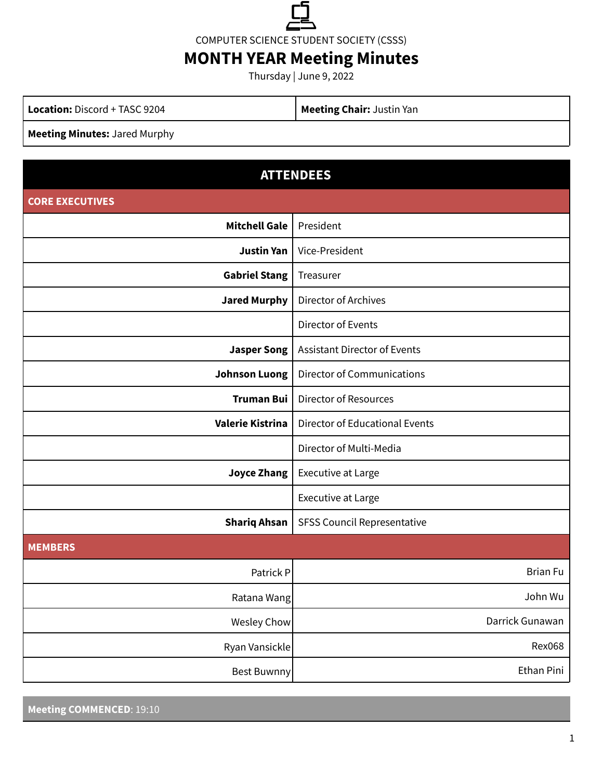

COMPUTER SCIENCE STUDENT SOCIETY (CSSS)

# **MONTH YEAR Meeting Minutes**

Thursday | June 9, 2022

**Location:** Discord + TASC 9204 **Meeting Chair:** Justin Yan

**Meeting Minutes:** Jared Murphy

| <b>ATTENDEES</b>       |                                       |
|------------------------|---------------------------------------|
| <b>CORE EXECUTIVES</b> |                                       |
| <b>Mitchell Gale</b>   | President                             |
| <b>Justin Yan</b>      | Vice-President                        |
| <b>Gabriel Stang</b>   | Treasurer                             |
| <b>Jared Murphy</b>    | Director of Archives                  |
|                        | Director of Events                    |
| <b>Jasper Song</b>     | <b>Assistant Director of Events</b>   |
| <b>Johnson Luong</b>   | <b>Director of Communications</b>     |
| <b>Truman Bui</b>      | <b>Director of Resources</b>          |
| Valerie Kistrina       | <b>Director of Educational Events</b> |
|                        | Director of Multi-Media               |
| <b>Joyce Zhang</b>     | Executive at Large                    |
|                        | <b>Executive at Large</b>             |
| <b>Shariq Ahsan</b>    | <b>SFSS Council Representative</b>    |
| <b>MEMBERS</b>         |                                       |
| Patrick P              | <b>Brian Fu</b>                       |
| Ratana Wang            | John Wu                               |
| <b>Wesley Chow</b>     | Darrick Gunawan                       |
| Ryan Vansickle         | <b>Rex068</b>                         |
| <b>Best Buwnny</b>     | Ethan Pini                            |

**Meeting COMMENCED**: 19:10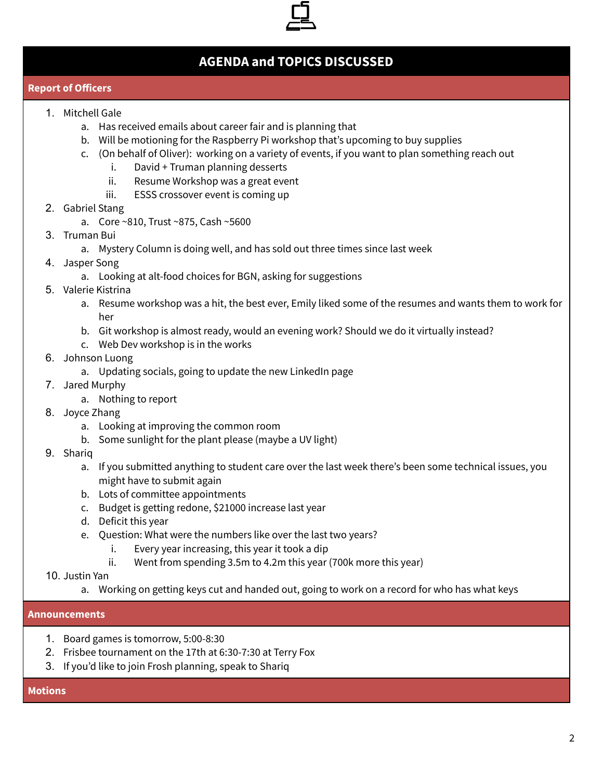

# **AGENDA and TOPICS DISCUSSED**

#### **Report of Officers**

- 1. Mitchell Gale
	- a. Has received emails about career fair and is planning that
	- b. Will be motioning for the Raspberry Pi workshop that's upcoming to buy supplies
	- c. (On behalf of Oliver): working on a variety of events, if you want to plan something reach out
		- i. David + Truman planning desserts
		- ii. Resume Workshop was a great event
		- iii. ESSS crossover event is coming up
- 2. Gabriel Stang
	- a. Core ~810, Trust ~875, Cash ~5600
- 3. Truman Bui
	- a. Mystery Column is doing well, and has sold out three times since last week
- 4. Jasper Song
	- a. Looking at alt-food choices for BGN, asking for suggestions
- 5. Valerie Kistrina
	- a. Resume workshop was a hit, the best ever, Emily liked some of the resumes and wants them to work for her
	- b. Git workshop is almost ready, would an evening work? Should we do it virtually instead?
	- c. Web Dev workshop is in the works
- 6. Johnson Luong
	- a. Updating socials, going to update the new LinkedIn page
- 7. Jared Murphy
	- a. Nothing to report
- 8. Joyce Zhang
	- a. Looking at improving the common room
	- b. Some sunlight for the plant please (maybe a UV light)
- 9. Shariq
	- a. If you submitted anything to student care over the last week there's been some technical issues, you might have to submit again
	- b. Lots of committee appointments
	- c. Budget is getting redone, \$21000 increase last year
	- d. Deficit this year
	- e. Question: What were the numbers like over the last two years?
		- i. Every year increasing, this year it took a dip
		- ii. Went from spending 3.5m to 4.2m this year (700k more this year)
- 10. Justin Yan
	- a. Working on getting keys cut and handed out, going to work on a record for who has what keys

## **Announcements**

- 1. Board games is tomorrow, 5:00-8:30
- 2. Frisbee tournament on the 17th at 6:30-7:30 at Terry Fox
- 3. If you'd like to join Frosh planning, speak to Shariq

#### **Motions**